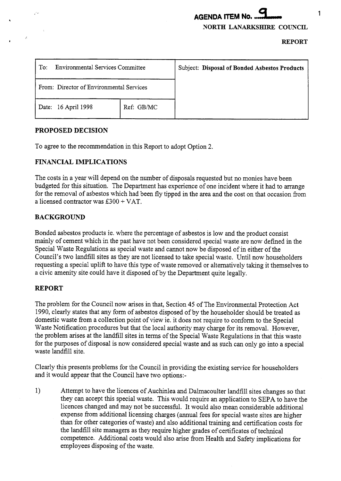# **AGENDA ITEM No.** .. 9 **NORTH LANARKSHIRE COUNCIL**

**REPORT** 

| <b>Environmental Services Committee</b><br>$\operatorname{To}$ : |            | Subject: Disposal of Bonded Asbestos Products |
|------------------------------------------------------------------|------------|-----------------------------------------------|
| From: Director of Environmental Services                         |            |                                               |
| 16 April 1998<br>Date:                                           | Ref: GB/MC |                                               |

#### **PROPOSED DECISION**

To agree to the recommendation in this Report to adopt Option **2.** 

## **FINANCIAL IMPLICATIONS**

The costs in a year will depend on the number of disposals requested but no monies have been budgeted for this situation. The Department has experience of one incident where it had to arrange for the removal of asbestos which had been fly tipped in the area and the cost on that occasion from a licensed contractor was E300 + VAT.

# **BACKGROUND**

Bonded asbestos products ie. where the percentage of asbestos is low and the product consist mainly of cement which in the past have not been considered special waste are now defined in the Special Waste Regulations as special waste and cannot now be disposed of in either of the Council's *two* landfill sites as they are not licensed to take special waste. Until now householders requesting a special uplift to have this type of waste removed or alternatively taking it themselves to a civic amenity site could have it disposed of by the Department quite legally.

## **REPORT**

The problem for the Council now arises in that, Section 45 of The Environmental Protection Act 1990, clearly states that any form of asbestos disposed of by the householder should be treated as domestic waste from a collection point of view ie. it does not require to conform to the Special Waste Notification procedures but that the local authority may charge for its removal. However, the problem arises at the landfill sites in terms of the Special Waste Regulations in that this waste for the purposes of disposal is now considered special waste and as such can only go into a special waste landfill site.

Clearly this presents problems for the Council in providing the existing service for householders and it would appear that the Council have two options:-

1) Attempt to have the licences of Auchinlea and Dalmacoulter landfill sites changes so that they can accept this special waste. This would require an application to SEPA to have the licences changed and may not be successful. It would also mean considerable additional expense from additional licensing charges (annual fees for special waste sites are higher than for other categories of waste) and also additional training and certification costs for the landfill site managers as they require higher grades of certificates of technical competence. Additional costs would also arise from Health and Safety implications for employees disposing of the waste.

1